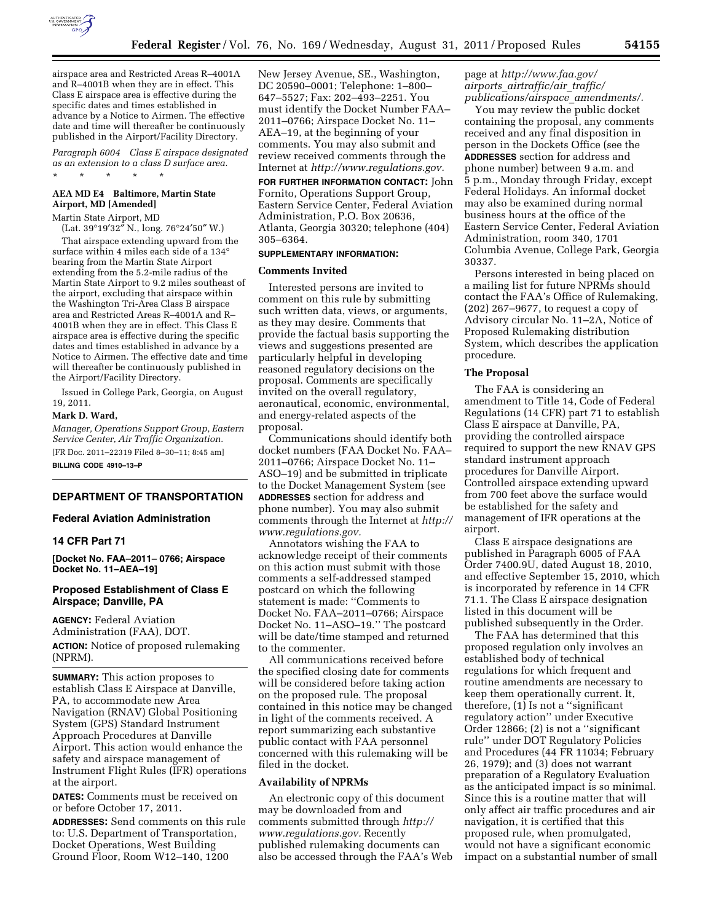

airspace area and Restricted Areas R–4001A and R–4001B when they are in effect. This Class E airspace area is effective during the specific dates and times established in advance by a Notice to Airmen. The effective date and time will thereafter be continuously published in the Airport/Facility Directory.

*Paragraph 6004 Class E airspace designated as an extension to a class D surface area.*  \* \* \* \* \*

## **AEA MD E4 Baltimore, Martin State Airport, MD [Amended]**

Martin State Airport, MD

(Lat. 39°19′32″ N., long. 76°24′50″ W.)

That airspace extending upward from the surface within 4 miles each side of a 134° bearing from the Martin State Airport extending from the 5.2-mile radius of the Martin State Airport to 9.2 miles southeast of the airport, excluding that airspace within the Washington Tri-Area Class B airspace area and Restricted Areas R–4001A and R– 4001B when they are in effect. This Class E airspace area is effective during the specific dates and times established in advance by a Notice to Airmen. The effective date and time will thereafter be continuously published in the Airport/Facility Directory.

Issued in College Park, Georgia, on August 19, 2011.

### **Mark D. Ward,**

*Manager, Operations Support Group, Eastern Service Center, Air Traffic Organization.*  [FR Doc. 2011–22319 Filed 8–30–11; 8:45 am] **BILLING CODE 4910–13–P** 

## **DEPARTMENT OF TRANSPORTATION**

# **Federal Aviation Administration**

### **14 CFR Part 71**

**[Docket No. FAA–2011– 0766; Airspace Docket No. 11–AEA–19]** 

## **Proposed Establishment of Class E Airspace; Danville, PA**

**AGENCY:** Federal Aviation Administration (FAA), DOT. **ACTION:** Notice of proposed rulemaking (NPRM).

**SUMMARY:** This action proposes to establish Class E Airspace at Danville, PA, to accommodate new Area Navigation (RNAV) Global Positioning System (GPS) Standard Instrument Approach Procedures at Danville Airport. This action would enhance the safety and airspace management of Instrument Flight Rules (IFR) operations at the airport.

**DATES:** Comments must be received on or before October 17, 2011.

**ADDRESSES:** Send comments on this rule to: U.S. Department of Transportation, Docket Operations, West Building Ground Floor, Room W12–140, 1200

New Jersey Avenue, SE., Washington, DC 20590–0001; Telephone: 1–800– 647–5527; Fax: 202–493–2251. You must identify the Docket Number FAA– 2011–0766; Airspace Docket No. 11– AEA–19, at the beginning of your comments. You may also submit and review received comments through the Internet at *[http://www.regulations.gov.](http://www.regulations.gov)* 

**FOR FURTHER INFORMATION CONTACT:** John Fornito, Operations Support Group, Eastern Service Center, Federal Aviation Administration, P.O. Box 20636, Atlanta, Georgia 30320; telephone (404) 305–6364.

## **SUPPLEMENTARY INFORMATION:**

#### **Comments Invited**

Interested persons are invited to comment on this rule by submitting such written data, views, or arguments, as they may desire. Comments that provide the factual basis supporting the views and suggestions presented are particularly helpful in developing reasoned regulatory decisions on the proposal. Comments are specifically invited on the overall regulatory, aeronautical, economic, environmental, and energy-related aspects of the proposal.

Communications should identify both docket numbers (FAA Docket No. FAA– 2011–0766; Airspace Docket No. 11– ASO–19) and be submitted in triplicate to the Docket Management System (see **ADDRESSES** section for address and phone number). You may also submit comments through the Internet at *[http://](http://www.regulations.gov) [www.regulations.gov.](http://www.regulations.gov)* 

Annotators wishing the FAA to acknowledge receipt of their comments on this action must submit with those comments a self-addressed stamped postcard on which the following statement is made: ''Comments to Docket No. FAA–2011–0766; Airspace Docket No. 11–ASO–19.'' The postcard will be date/time stamped and returned to the commenter.

All communications received before the specified closing date for comments will be considered before taking action on the proposed rule. The proposal contained in this notice may be changed in light of the comments received. A report summarizing each substantive public contact with FAA personnel concerned with this rulemaking will be filed in the docket.

#### **Availability of NPRMs**

An electronic copy of this document may be downloaded from and comments submitted through *[http://](http://www.regulations.gov) [www.regulations.gov.](http://www.regulations.gov)* Recently published rulemaking documents can also be accessed through the FAA's Web page at *[http://www.faa.gov/](http://www.faa.gov/airports_airtraffic/air_traffic/publications/airspace_amendments/) airports*\_*[airtraffic/air](http://www.faa.gov/airports_airtraffic/air_traffic/publications/airspace_amendments/)*\_*traffic/ [publications/airspace](http://www.faa.gov/airports_airtraffic/air_traffic/publications/airspace_amendments/)*\_*amendments/.* 

You may review the public docket containing the proposal, any comments received and any final disposition in person in the Dockets Office (see the **ADDRESSES** section for address and phone number) between 9 a.m. and 5 p.m., Monday through Friday, except Federal Holidays. An informal docket may also be examined during normal business hours at the office of the Eastern Service Center, Federal Aviation Administration, room 340, 1701 Columbia Avenue, College Park, Georgia 30337.

Persons interested in being placed on a mailing list for future NPRMs should contact the FAA's Office of Rulemaking, (202) 267–9677, to request a copy of Advisory circular No. 11–2A, Notice of Proposed Rulemaking distribution System, which describes the application procedure.

#### **The Proposal**

The FAA is considering an amendment to Title 14, Code of Federal Regulations (14 CFR) part 71 to establish Class E airspace at Danville, PA, providing the controlled airspace required to support the new RNAV GPS standard instrument approach procedures for Danville Airport. Controlled airspace extending upward from 700 feet above the surface would be established for the safety and management of IFR operations at the airport.

Class E airspace designations are published in Paragraph 6005 of FAA Order 7400.9U, dated August 18, 2010, and effective September 15, 2010, which is incorporated by reference in 14 CFR 71.1. The Class E airspace designation listed in this document will be published subsequently in the Order.

The FAA has determined that this proposed regulation only involves an established body of technical regulations for which frequent and routine amendments are necessary to keep them operationally current. It, therefore, (1) Is not a ''significant regulatory action'' under Executive Order 12866; (2) is not a ''significant rule'' under DOT Regulatory Policies and Procedures (44 FR 11034; February 26, 1979); and (3) does not warrant preparation of a Regulatory Evaluation as the anticipated impact is so minimal. Since this is a routine matter that will only affect air traffic procedures and air navigation, it is certified that this proposed rule, when promulgated, would not have a significant economic impact on a substantial number of small